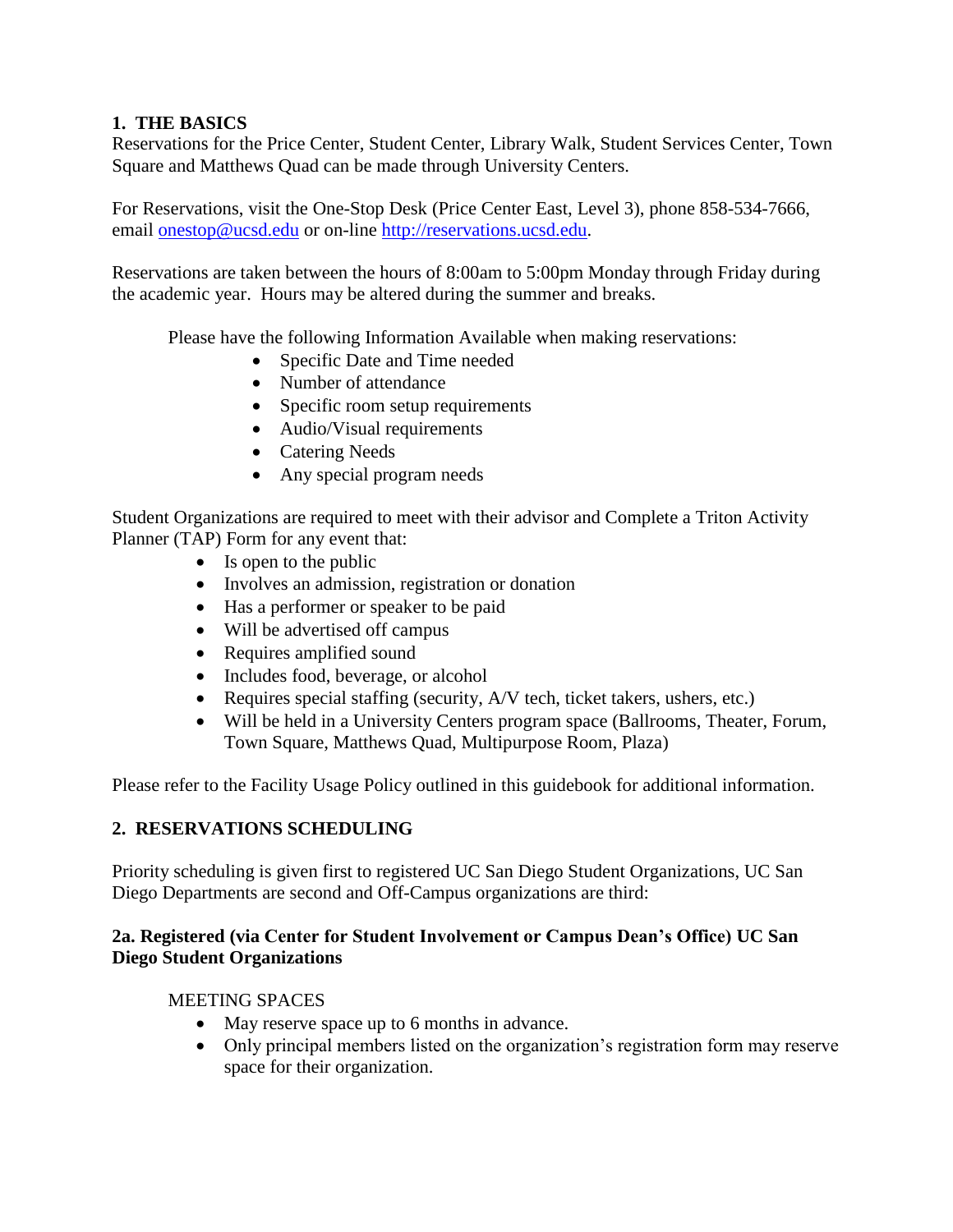### **1. THE BASICS**

Reservations for the Price Center, Student Center, Library Walk, Student Services Center, Town Square and Matthews Quad can be made through University Centers.

For Reservations, visit the One-Stop Desk (Price Center East, Level 3), phone 858-534-7666, email **onestop@ucsd.edu** or on-line [http://reservations.ucsd.edu.](http://reservations.ucsd.edu/)

Reservations are taken between the hours of 8:00am to 5:00pm Monday through Friday during the academic year. Hours may be altered during the summer and breaks.

Please have the following Information Available when making reservations:

- Specific Date and Time needed
- Number of attendance
- Specific room setup requirements
- Audio/Visual requirements
- Catering Needs
- Any special program needs

Student Organizations are required to meet with their advisor and Complete a Triton Activity Planner (TAP) Form for any event that:

- Is open to the public
- Involves an admission, registration or donation
- Has a performer or speaker to be paid
- Will be advertised off campus
- Requires amplified sound
- Includes food, beverage, or alcohol
- Requires special staffing (security, A/V tech, ticket takers, ushers, etc.)
- Will be held in a University Centers program space (Ballrooms, Theater, Forum, Town Square, Matthews Quad, Multipurpose Room, Plaza)

Please refer to the Facility Usage Policy outlined in this guidebook for additional information.

### **2. RESERVATIONS SCHEDULING**

Priority scheduling is given first to registered UC San Diego Student Organizations, UC San Diego Departments are second and Off-Campus organizations are third:

### **2a. Registered (via Center for Student Involvement or Campus Dean's Office) UC San Diego Student Organizations**

### MEETING SPACES

- May reserve space up to 6 months in advance.
- Only principal members listed on the organization's registration form may reserve space for their organization.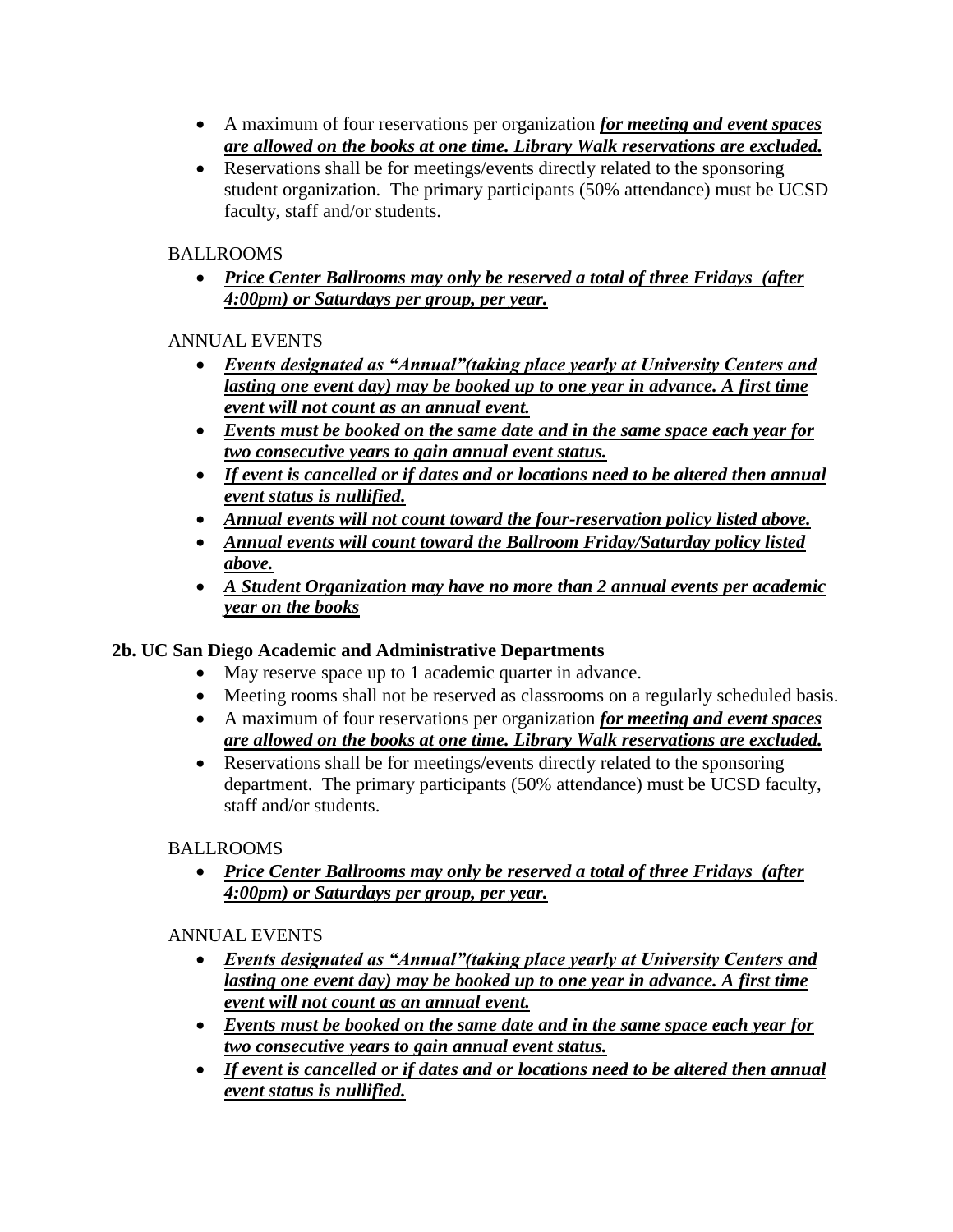- A maximum of four reservations per organization *for meeting and event spaces are allowed on the books at one time. Library Walk reservations are excluded.*
- Reservations shall be for meetings/events directly related to the sponsoring student organization. The primary participants (50% attendance) must be UCSD faculty, staff and/or students.

BALLROOMS

 *Price Center Ballrooms may only be reserved a total of three Fridays (after 4:00pm) or Saturdays per group, per year.* 

ANNUAL EVENTS

- *Events designated as "Annual"(taking place yearly at University Centers and lasting one event day) may be booked up to one year in advance. A first time event will not count as an annual event.*
- *Events must be booked on the same date and in the same space each year for two consecutive years to gain annual event status.*
- *If event is cancelled or if dates and or locations need to be altered then annual event status is nullified.*
- *Annual events will not count toward the four-reservation policy listed above.*
- *Annual events will count toward the Ballroom Friday/Saturday policy listed above.*
- *A Student Organization may have no more than 2 annual events per academic year on the books*

# **2b. UC San Diego Academic and Administrative Departments**

- May reserve space up to 1 academic quarter in advance.
- Meeting rooms shall not be reserved as classrooms on a regularly scheduled basis.
- A maximum of four reservations per organization *for meeting and event spaces are allowed on the books at one time. Library Walk reservations are excluded.*
- Reservations shall be for meetings/events directly related to the sponsoring department. The primary participants (50% attendance) must be UCSD faculty, staff and/or students.

# BALLROOMS

 *Price Center Ballrooms may only be reserved a total of three Fridays (after 4:00pm) or Saturdays per group, per year.* 

ANNUAL EVENTS

- *Events designated as "Annual"(taking place yearly at University Centers and lasting one event day) may be booked up to one year in advance. A first time event will not count as an annual event.*
- *Events must be booked on the same date and in the same space each year for two consecutive years to gain annual event status.*
- *If event is cancelled or if dates and or locations need to be altered then annual event status is nullified.*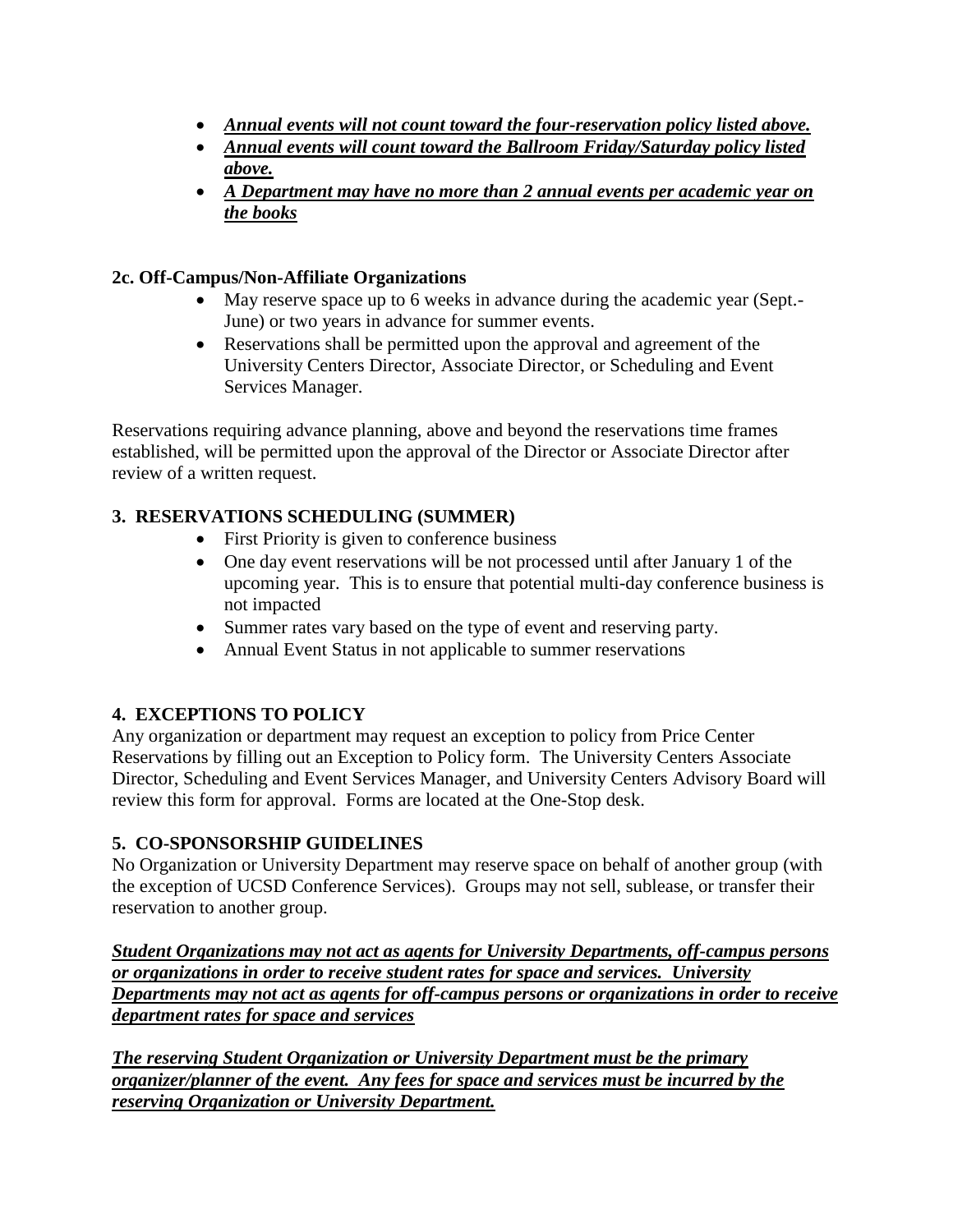- *Annual events will not count toward the four-reservation policy listed above.*
- *Annual events will count toward the Ballroom Friday/Saturday policy listed above.*
- *A Department may have no more than 2 annual events per academic year on the books*

### **2c. Off-Campus/Non-Affiliate Organizations**

- May reserve space up to 6 weeks in advance during the academic year (Sept.- June) or two years in advance for summer events.
- Reservations shall be permitted upon the approval and agreement of the University Centers Director, Associate Director, or Scheduling and Event Services Manager.

Reservations requiring advance planning, above and beyond the reservations time frames established, will be permitted upon the approval of the Director or Associate Director after review of a written request.

## **3. RESERVATIONS SCHEDULING (SUMMER)**

- First Priority is given to conference business
- One day event reservations will be not processed until after January 1 of the upcoming year. This is to ensure that potential multi-day conference business is not impacted
- Summer rates vary based on the type of event and reserving party.
- Annual Event Status in not applicable to summer reservations

## **4. EXCEPTIONS TO POLICY**

Any organization or department may request an exception to policy from Price Center Reservations by filling out an Exception to Policy form. The University Centers Associate Director, Scheduling and Event Services Manager, and University Centers Advisory Board will review this form for approval. Forms are located at the One-Stop desk.

### **5. CO-SPONSORSHIP GUIDELINES**

No Organization or University Department may reserve space on behalf of another group (with the exception of UCSD Conference Services). Groups may not sell, sublease, or transfer their reservation to another group.

*Student Organizations may not act as agents for University Departments, off-campus persons or organizations in order to receive student rates for space and services. University Departments may not act as agents for off-campus persons or organizations in order to receive department rates for space and services*

*The reserving Student Organization or University Department must be the primary organizer/planner of the event. Any fees for space and services must be incurred by the reserving Organization or University Department.*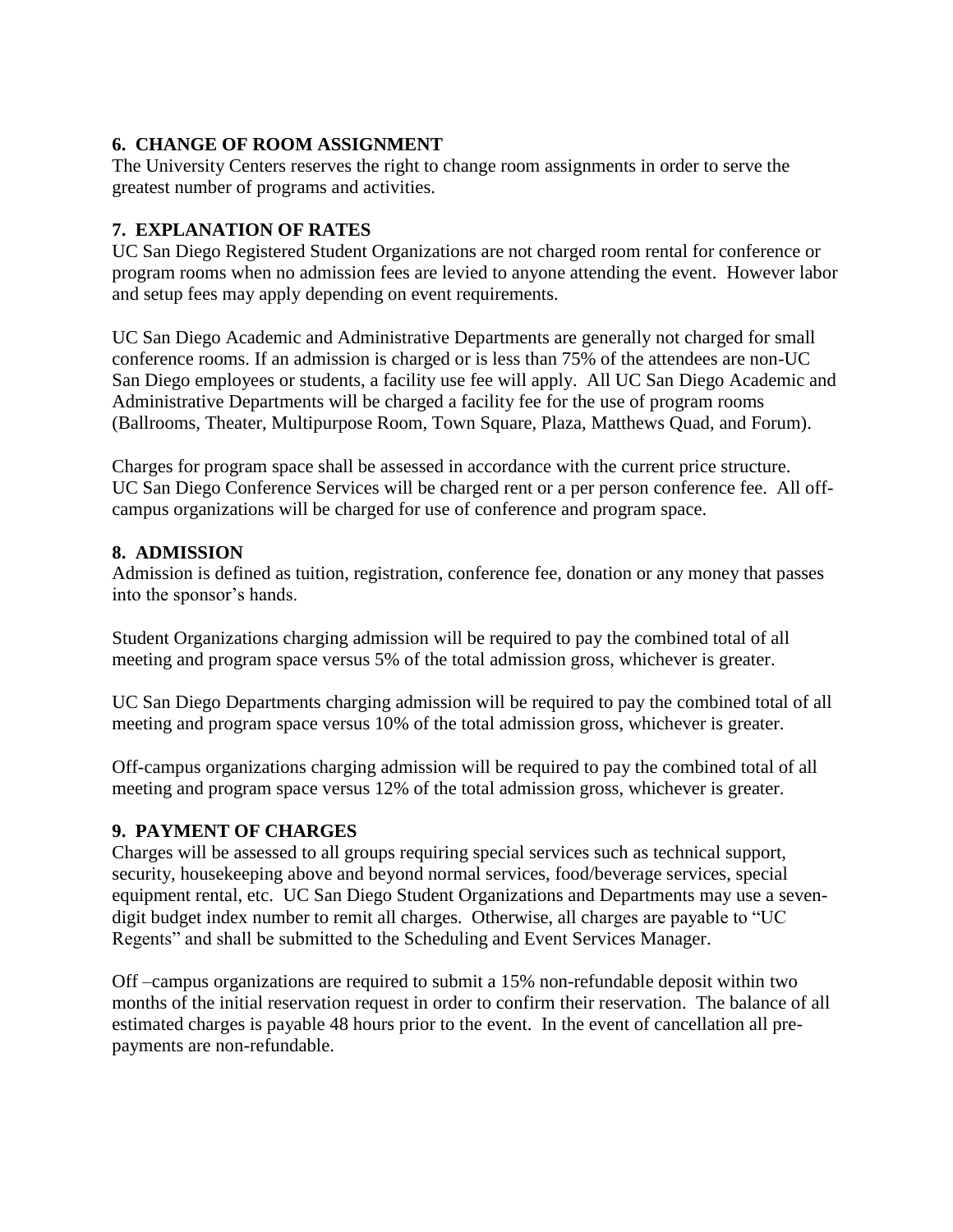### **6. CHANGE OF ROOM ASSIGNMENT**

The University Centers reserves the right to change room assignments in order to serve the greatest number of programs and activities.

### **7. EXPLANATION OF RATES**

UC San Diego Registered Student Organizations are not charged room rental for conference or program rooms when no admission fees are levied to anyone attending the event. However labor and setup fees may apply depending on event requirements.

UC San Diego Academic and Administrative Departments are generally not charged for small conference rooms. If an admission is charged or is less than 75% of the attendees are non-UC San Diego employees or students, a facility use fee will apply. All UC San Diego Academic and Administrative Departments will be charged a facility fee for the use of program rooms (Ballrooms, Theater, Multipurpose Room, Town Square, Plaza, Matthews Quad, and Forum).

Charges for program space shall be assessed in accordance with the current price structure. UC San Diego Conference Services will be charged rent or a per person conference fee. All offcampus organizations will be charged for use of conference and program space.

### **8. ADMISSION**

Admission is defined as tuition, registration, conference fee, donation or any money that passes into the sponsor's hands.

Student Organizations charging admission will be required to pay the combined total of all meeting and program space versus 5% of the total admission gross, whichever is greater.

UC San Diego Departments charging admission will be required to pay the combined total of all meeting and program space versus 10% of the total admission gross, whichever is greater.

Off-campus organizations charging admission will be required to pay the combined total of all meeting and program space versus 12% of the total admission gross, whichever is greater.

### **9. PAYMENT OF CHARGES**

Charges will be assessed to all groups requiring special services such as technical support, security, housekeeping above and beyond normal services, food/beverage services, special equipment rental, etc. UC San Diego Student Organizations and Departments may use a sevendigit budget index number to remit all charges. Otherwise, all charges are payable to "UC Regents" and shall be submitted to the Scheduling and Event Services Manager.

Off –campus organizations are required to submit a 15% non-refundable deposit within two months of the initial reservation request in order to confirm their reservation. The balance of all estimated charges is payable 48 hours prior to the event. In the event of cancellation all prepayments are non-refundable.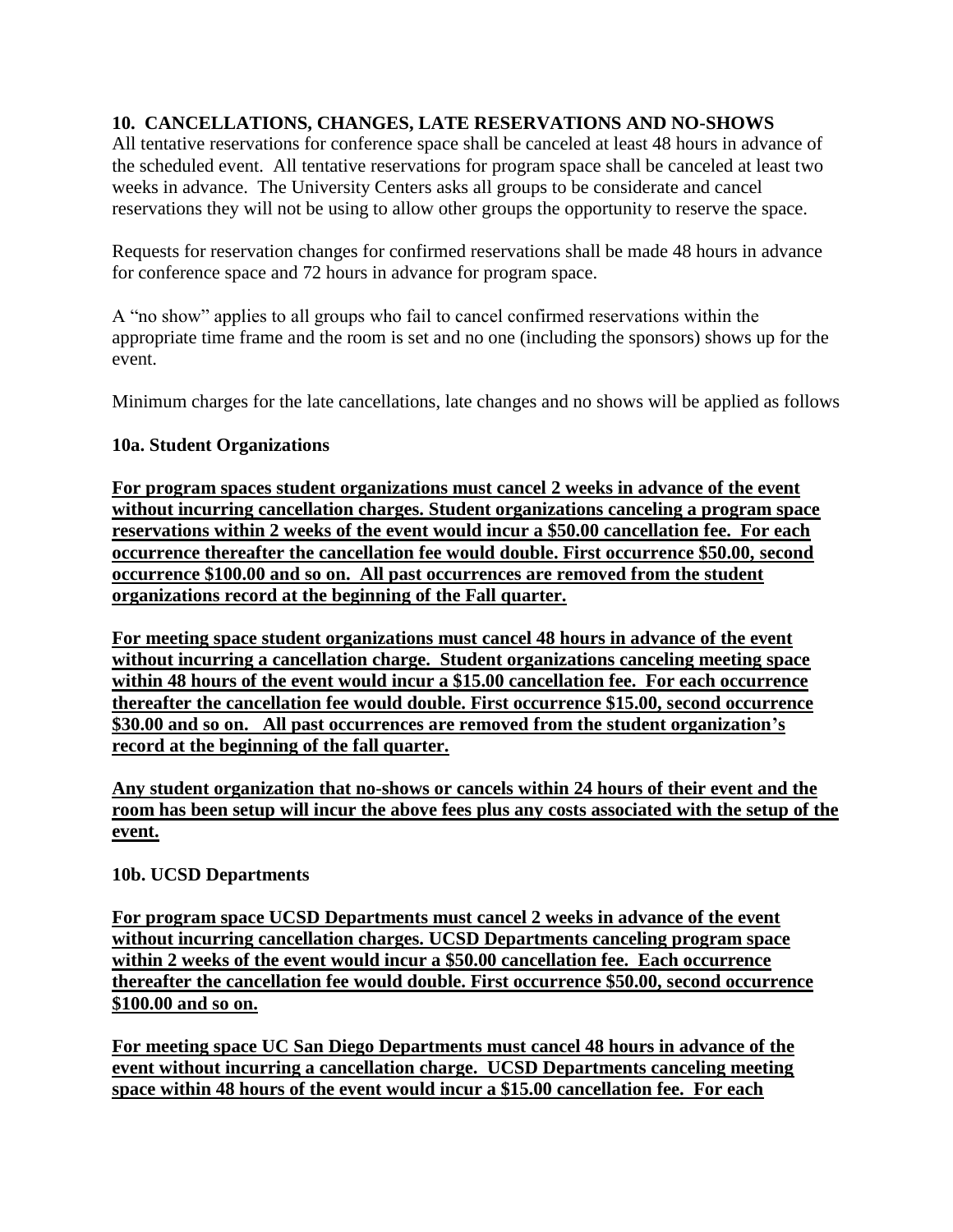#### **10. CANCELLATIONS, CHANGES, LATE RESERVATIONS AND NO-SHOWS**

All tentative reservations for conference space shall be canceled at least 48 hours in advance of the scheduled event. All tentative reservations for program space shall be canceled at least two weeks in advance. The University Centers asks all groups to be considerate and cancel reservations they will not be using to allow other groups the opportunity to reserve the space.

Requests for reservation changes for confirmed reservations shall be made 48 hours in advance for conference space and 72 hours in advance for program space.

A "no show" applies to all groups who fail to cancel confirmed reservations within the appropriate time frame and the room is set and no one (including the sponsors) shows up for the event.

Minimum charges for the late cancellations, late changes and no shows will be applied as follows

#### **10a. Student Organizations**

**For program spaces student organizations must cancel 2 weeks in advance of the event without incurring cancellation charges. Student organizations canceling a program space reservations within 2 weeks of the event would incur a \$50.00 cancellation fee. For each occurrence thereafter the cancellation fee would double. First occurrence \$50.00, second occurrence \$100.00 and so on. All past occurrences are removed from the student organizations record at the beginning of the Fall quarter.** 

**For meeting space student organizations must cancel 48 hours in advance of the event without incurring a cancellation charge. Student organizations canceling meeting space within 48 hours of the event would incur a \$15.00 cancellation fee. For each occurrence thereafter the cancellation fee would double. First occurrence \$15.00, second occurrence \$30.00 and so on. All past occurrences are removed from the student organization's record at the beginning of the fall quarter.** 

**Any student organization that no-shows or cancels within 24 hours of their event and the room has been setup will incur the above fees plus any costs associated with the setup of the event.**

#### **10b. UCSD Departments**

**For program space UCSD Departments must cancel 2 weeks in advance of the event without incurring cancellation charges. UCSD Departments canceling program space within 2 weeks of the event would incur a \$50.00 cancellation fee. Each occurrence thereafter the cancellation fee would double. First occurrence \$50.00, second occurrence \$100.00 and so on.** 

**For meeting space UC San Diego Departments must cancel 48 hours in advance of the event without incurring a cancellation charge. UCSD Departments canceling meeting space within 48 hours of the event would incur a \$15.00 cancellation fee. For each**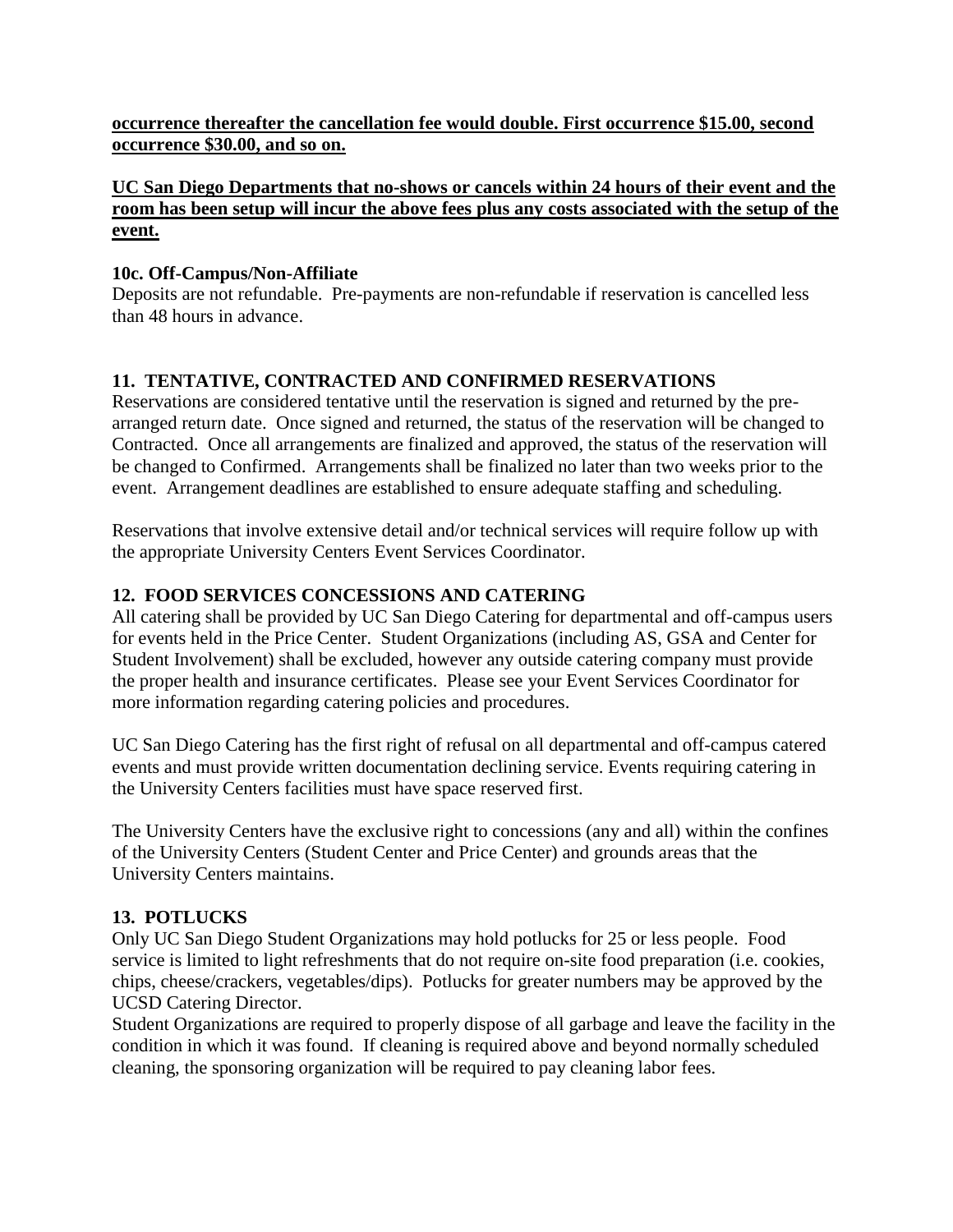#### **occurrence thereafter the cancellation fee would double. First occurrence \$15.00, second occurrence \$30.00, and so on.**

#### **UC San Diego Departments that no-shows or cancels within 24 hours of their event and the room has been setup will incur the above fees plus any costs associated with the setup of the event.**

### **10c. Off-Campus/Non-Affiliate**

Deposits are not refundable. Pre-payments are non-refundable if reservation is cancelled less than 48 hours in advance.

### **11. TENTATIVE, CONTRACTED AND CONFIRMED RESERVATIONS**

Reservations are considered tentative until the reservation is signed and returned by the prearranged return date. Once signed and returned, the status of the reservation will be changed to Contracted. Once all arrangements are finalized and approved, the status of the reservation will be changed to Confirmed. Arrangements shall be finalized no later than two weeks prior to the event. Arrangement deadlines are established to ensure adequate staffing and scheduling.

Reservations that involve extensive detail and/or technical services will require follow up with the appropriate University Centers Event Services Coordinator.

#### **12. FOOD SERVICES CONCESSIONS AND CATERING**

All catering shall be provided by UC San Diego Catering for departmental and off-campus users for events held in the Price Center. Student Organizations (including AS, GSA and Center for Student Involvement) shall be excluded, however any outside catering company must provide the proper health and insurance certificates. Please see your Event Services Coordinator for more information regarding catering policies and procedures.

UC San Diego Catering has the first right of refusal on all departmental and off-campus catered events and must provide written documentation declining service. Events requiring catering in the University Centers facilities must have space reserved first.

The University Centers have the exclusive right to concessions (any and all) within the confines of the University Centers (Student Center and Price Center) and grounds areas that the University Centers maintains.

### **13. POTLUCKS**

Only UC San Diego Student Organizations may hold potlucks for 25 or less people. Food service is limited to light refreshments that do not require on-site food preparation (i.e. cookies, chips, cheese/crackers, vegetables/dips). Potlucks for greater numbers may be approved by the UCSD Catering Director.

Student Organizations are required to properly dispose of all garbage and leave the facility in the condition in which it was found. If cleaning is required above and beyond normally scheduled cleaning, the sponsoring organization will be required to pay cleaning labor fees.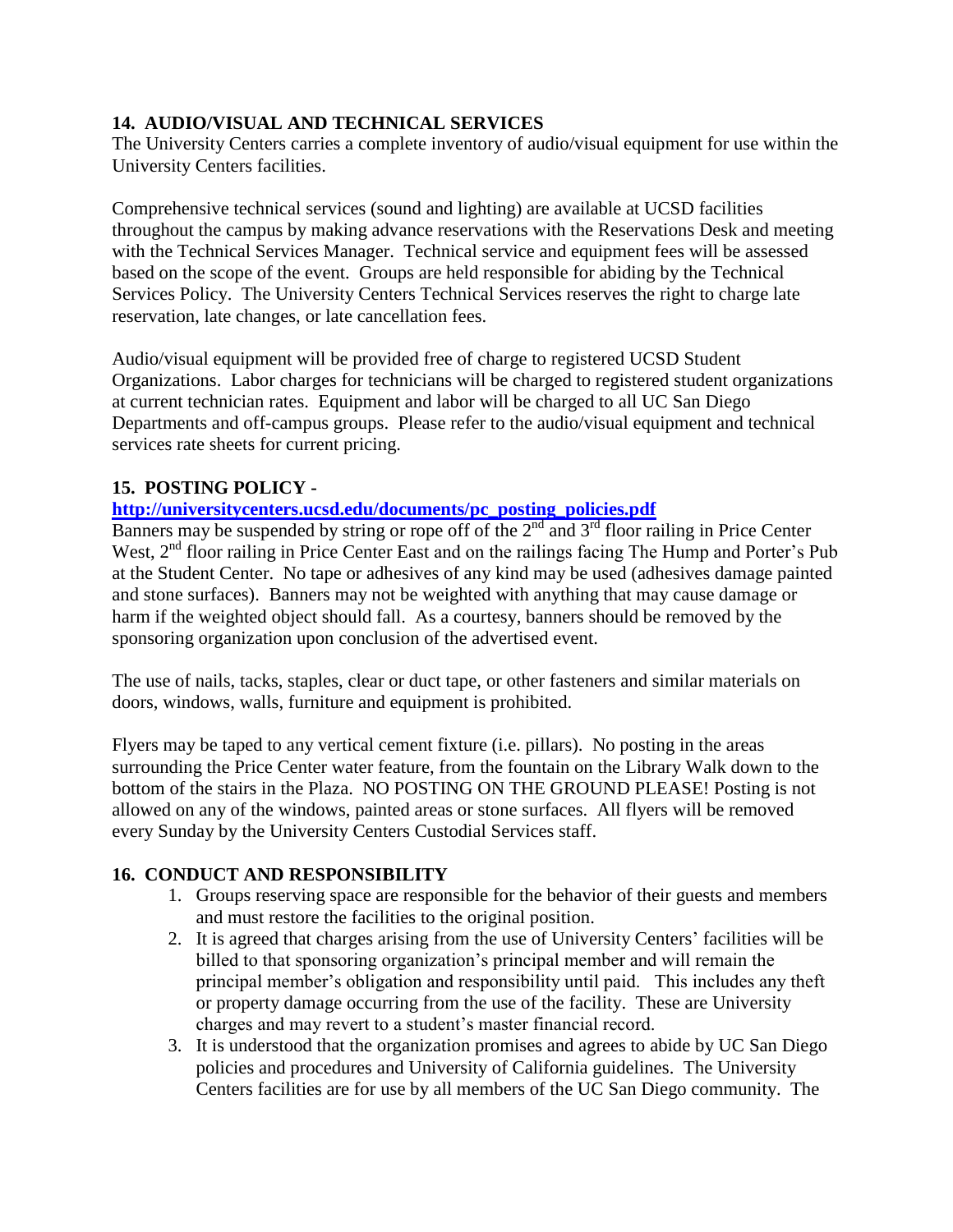### **14. AUDIO/VISUAL AND TECHNICAL SERVICES**

The University Centers carries a complete inventory of audio/visual equipment for use within the University Centers facilities.

Comprehensive technical services (sound and lighting) are available at UCSD facilities throughout the campus by making advance reservations with the Reservations Desk and meeting with the Technical Services Manager. Technical service and equipment fees will be assessed based on the scope of the event. Groups are held responsible for abiding by the Technical Services Policy. The University Centers Technical Services reserves the right to charge late reservation, late changes, or late cancellation fees.

Audio/visual equipment will be provided free of charge to registered UCSD Student Organizations. Labor charges for technicians will be charged to registered student organizations at current technician rates. Equipment and labor will be charged to all UC San Diego Departments and off-campus groups. Please refer to the audio/visual equipment and technical services rate sheets for current pricing.

### **15. POSTING POLICY -**

**[http://universitycenters.ucsd.edu/documents/pc\\_posting\\_policies.pdf](http://universitycenters.ucsd.edu/documents/pc_posting_policies.pdf)**

Banners may be suspended by string or rope off of the  $2<sup>nd</sup>$  and  $3<sup>rd</sup>$  floor railing in Price Center West, 2<sup>nd</sup> floor railing in Price Center East and on the railings facing The Hump and Porter's Pub at the Student Center. No tape or adhesives of any kind may be used (adhesives damage painted and stone surfaces). Banners may not be weighted with anything that may cause damage or harm if the weighted object should fall. As a courtesy, banners should be removed by the sponsoring organization upon conclusion of the advertised event.

The use of nails, tacks, staples, clear or duct tape, or other fasteners and similar materials on doors, windows, walls, furniture and equipment is prohibited.

Flyers may be taped to any vertical cement fixture (i.e. pillars). No posting in the areas surrounding the Price Center water feature, from the fountain on the Library Walk down to the bottom of the stairs in the Plaza. NO POSTING ON THE GROUND PLEASE! Posting is not allowed on any of the windows, painted areas or stone surfaces. All flyers will be removed every Sunday by the University Centers Custodial Services staff.

### **16. CONDUCT AND RESPONSIBILITY**

- 1. Groups reserving space are responsible for the behavior of their guests and members and must restore the facilities to the original position.
- 2. It is agreed that charges arising from the use of University Centers' facilities will be billed to that sponsoring organization's principal member and will remain the principal member's obligation and responsibility until paid. This includes any theft or property damage occurring from the use of the facility. These are University charges and may revert to a student's master financial record.
- 3. It is understood that the organization promises and agrees to abide by UC San Diego policies and procedures and University of California guidelines. The University Centers facilities are for use by all members of the UC San Diego community. The